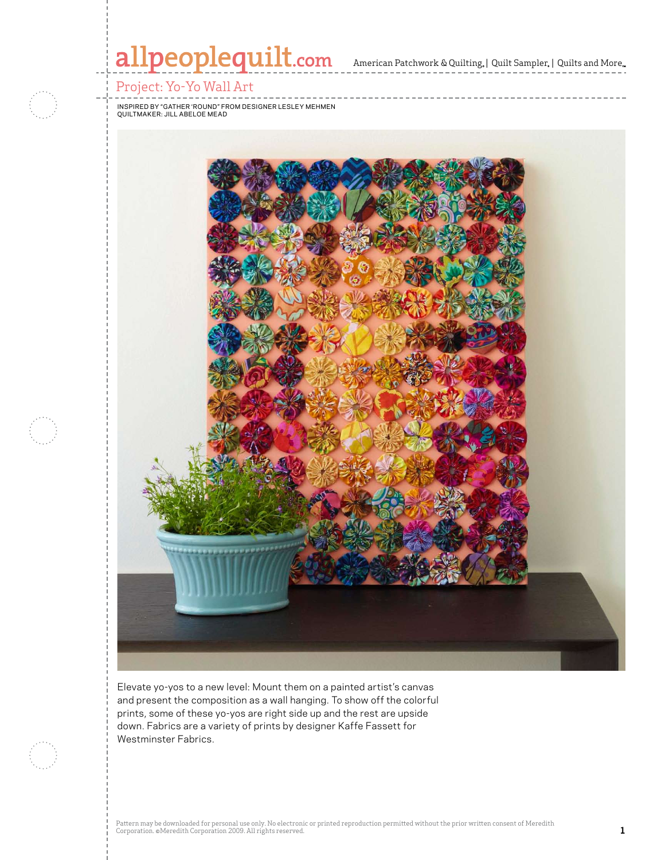

Westminster Fabrics.

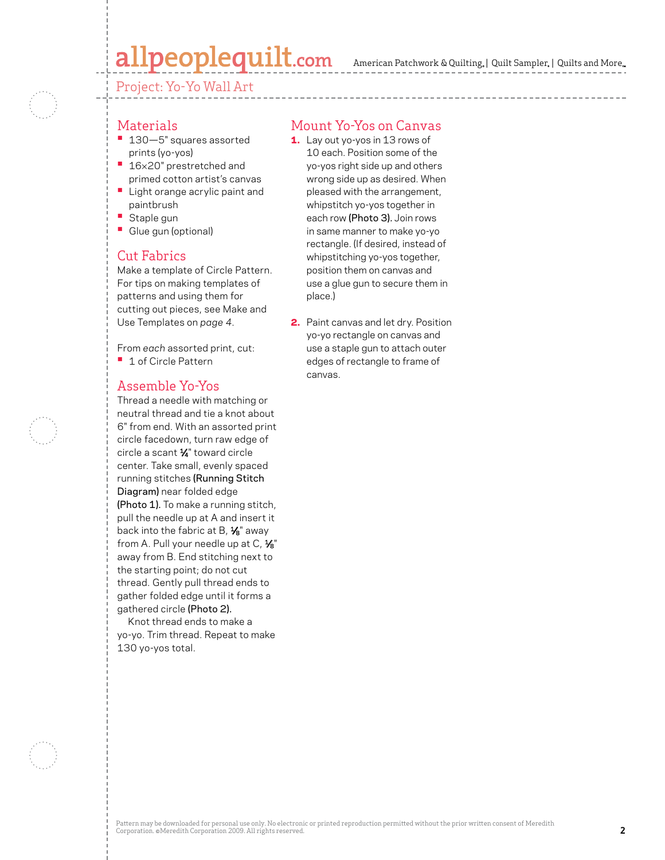# peoplequilt.com

Project: Yo-Yo Wall Art

#### **Materials**

- **•**  130—5" squares assorted prints (yo-yos)
- **•**  <sup>16</sup>×20" prestretched and primed cotton artist's canvas
- **Light orange acrylic paint and** paintbrush
- **Staple gun**
- **•**  Glue gun (optional)

### Cut Fabrics

Make a template of Circle Pattern. For tips on making templates of patterns and using them for cutting out pieces, see Make and Use Templates on *page 4*.

From *each* assorted print, cut: **•**  1 of Circle Pattern

### Assemble Yo-Yos

Thread a needle with matching or neutral thread and tie a knot about 6" from end. With an assorted print circle facedown, turn raw edge of circle a scant  $\frac{1}{4}$ " toward circle center. Take small, evenly spaced running stitches (Running Stitch Diagram) near folded edge (Photo 1). To make a running stitch, pull the needle up at A and insert it back into the fabric at B,  $\frac{1}{8}$ " away from A. Pull your needle up at  $C, \frac{1}{8}$ " away from B. End stitching next to the starting point; do not cut thread. Gently pull thread ends to gather folded edge until it forms a gathered circle (Photo 2).

Knot thread ends to make a yo-yo. Trim thread. Repeat to make 130 yo-yos total.

### Mount Yo-Yos on Canvas

- 1. Lay out yo-yos in 13 rows of 10 each. Position some of the yo-yos right side up and others wrong side up as desired. When pleased with the arrangement, whipstitch yo-yos together in each row (Photo 3). Join rows in same manner to make yo-yo rectangle. (If desired, instead of whipstitching yo-yos together, position them on canvas and use a glue gun to secure them in place.)
- 2. Paint canvas and let dry. Position yo-yo rectangle on canvas and use a staple gun to attach outer edges of rectangle to frame of canvas.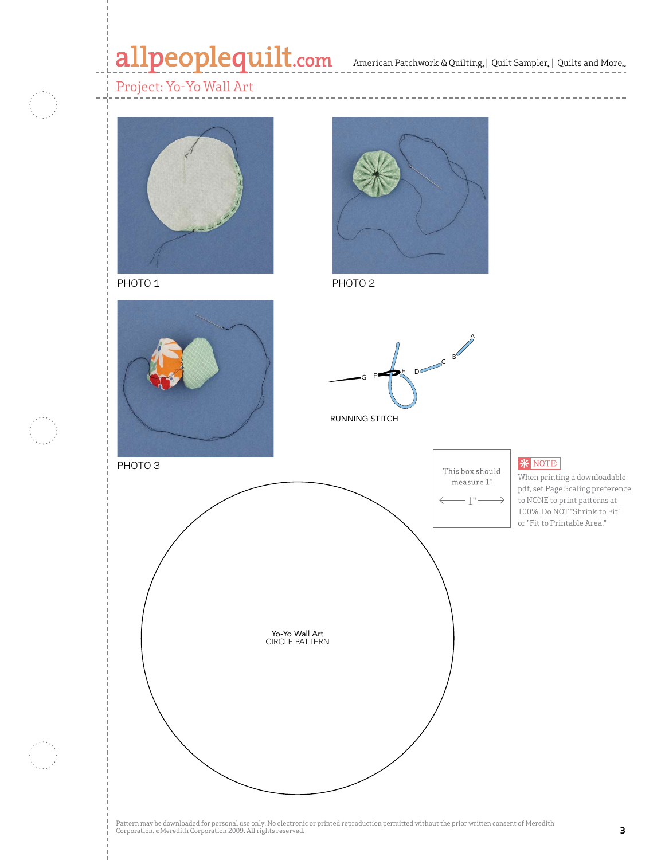# allpeoplequilt.com American Patchwork & Quilting, | Quilt Sampler, | Quilts and More..

 $\cdots \cdots \cdots \cdots$ 



PHOTO 1 PHOTO 2







RUNNING STITCH



**\*** NOTE:

When printing a downloadable pdf, set Page Scaling preference to NONE to print patterns at 100%. Do NOT "Shrink to Fit" or "Fit to Printable Area."

Pattern may be downloaded for personal use only. No electronic or printed reproduction permitted without the prior written consent of Meredith Corporation. ©Meredith Corporation 2009. All rights reserved. Princet exposured the prince metal exposured.